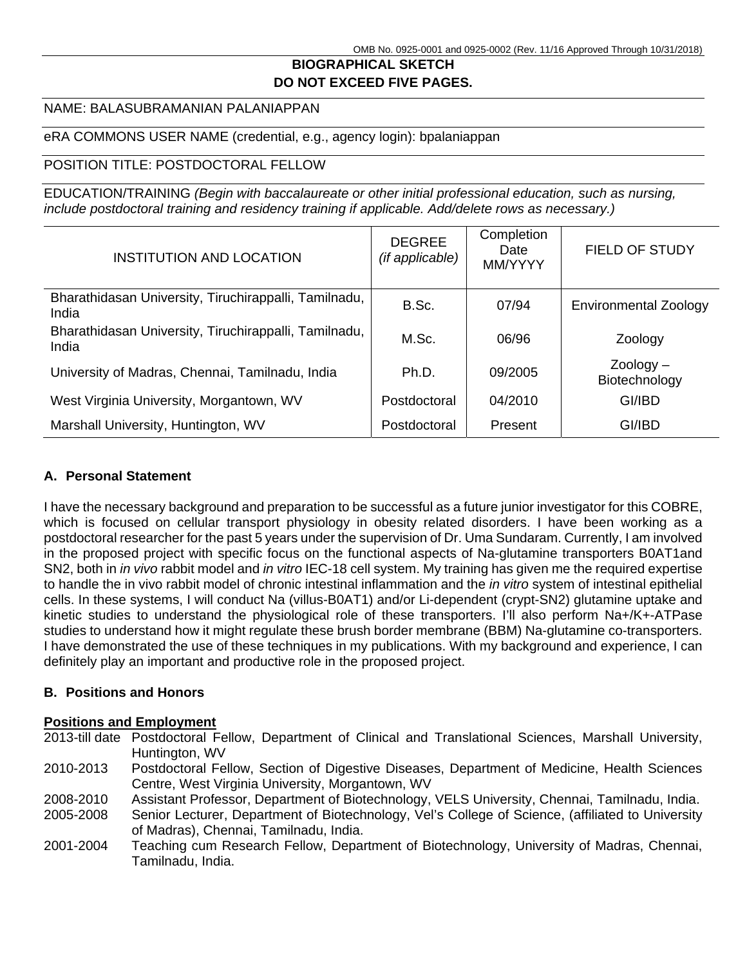# **BIOGRAPHICAL SKETCH DO NOT EXCEED FIVE PAGES.**

## NAME: BALASUBRAMANIAN PALANIAPPAN

### eRA COMMONS USER NAME (credential, e.g., agency login): bpalaniappan

## POSITION TITLE: POSTDOCTORAL FELLOW

EDUCATION/TRAINING *(Begin with baccalaureate or other initial professional education, such as nursing, include postdoctoral training and residency training if applicable. Add/delete rows as necessary.)*

| <b>INSTITUTION AND LOCATION</b>                                | <b>DEGREE</b><br>(if applicable) | Completion<br>Date<br>MM/YYYY | <b>FIELD OF STUDY</b>        |
|----------------------------------------------------------------|----------------------------------|-------------------------------|------------------------------|
| Bharathidasan University, Tiruchirappalli, Tamilnadu,<br>India | B.Sc.                            | 07/94                         | <b>Environmental Zoology</b> |
| Bharathidasan University, Tiruchirappalli, Tamilnadu,<br>India | M.Sc.                            | 06/96                         | Zoology                      |
| University of Madras, Chennai, Tamilnadu, India                | Ph.D.                            | 09/2005                       | $Zoology -$<br>Biotechnology |
| West Virginia University, Morgantown, WV                       | Postdoctoral                     | 04/2010                       | GI/IBD                       |
| Marshall University, Huntington, WV                            | Postdoctoral                     | Present                       | GI/IBD                       |

## **A. Personal Statement**

I have the necessary background and preparation to be successful as a future junior investigator for this COBRE, which is focused on cellular transport physiology in obesity related disorders. I have been working as a postdoctoral researcher for the past 5 years under the supervision of Dr. Uma Sundaram. Currently, I am involved in the proposed project with specific focus on the functional aspects of Na-glutamine transporters B0AT1and SN2, both in *in vivo* rabbit model and *in vitro* IEC-18 cell system. My training has given me the required expertise to handle the in vivo rabbit model of chronic intestinal inflammation and the *in vitro* system of intestinal epithelial cells. In these systems, I will conduct Na (villus-B0AT1) and/or Li-dependent (crypt-SN2) glutamine uptake and kinetic studies to understand the physiological role of these transporters. I'll also perform Na+/K+-ATPase studies to understand how it might regulate these brush border membrane (BBM) Na-glutamine co-transporters. I have demonstrated the use of these techniques in my publications. With my background and experience, I can definitely play an important and productive role in the proposed project.

### **B. Positions and Honors**

#### **Positions and Employment**

2013-till date Postdoctoral Fellow, Department of Clinical and Translational Sciences, Marshall University, Huntington, WV

2010-2013 Postdoctoral Fellow, Section of Digestive Diseases, Department of Medicine, Health Sciences Centre, West Virginia University, Morgantown, WV

2008-2010 Assistant Professor, Department of Biotechnology, VELS University, Chennai, Tamilnadu, India.

2005-2008 Senior Lecturer, Department of Biotechnology, Vel's College of Science, (affiliated to University of Madras), Chennai, Tamilnadu, India.

2001-2004 Teaching cum Research Fellow, Department of Biotechnology, University of Madras, Chennai, Tamilnadu, India.